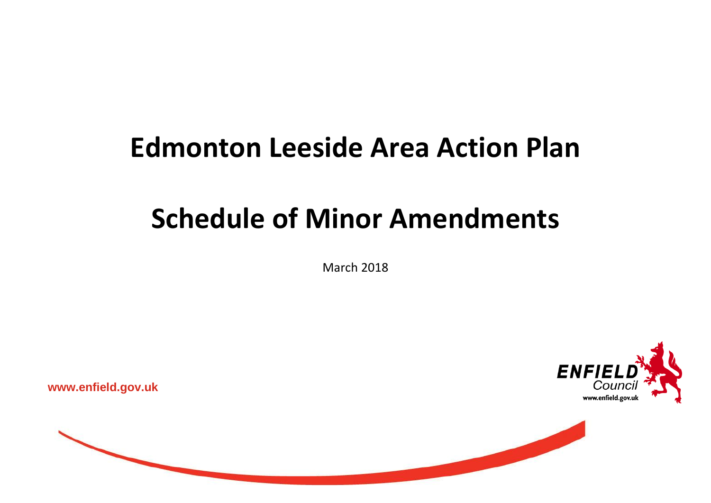## **Edmonton Leeside Area Action Plan**

## **Schedule of Minor Amendments**

March 2018



**www.enfield.gov.uk**

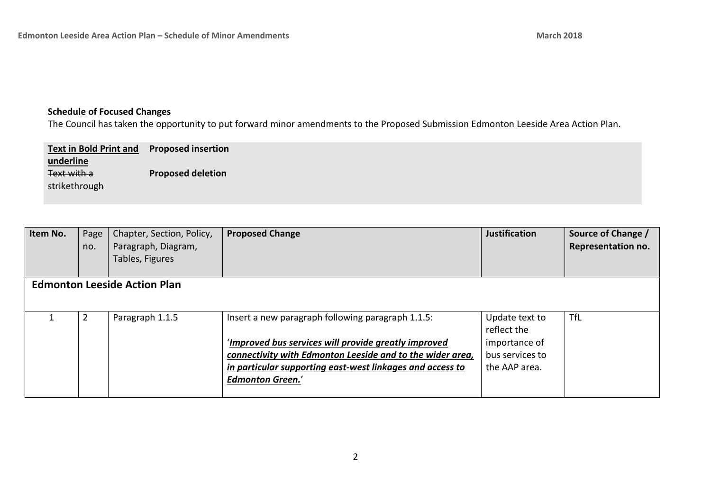## **Schedule of Focused Changes**

The Council has taken the opportunity to put forward minor amendments to the Proposed Submission Edmonton Leeside Area Action Plan.

| <b>Text in Bold Print and</b> | <b>Proposed insertion</b> |
|-------------------------------|---------------------------|
| underline                     |                           |
| Text with a                   | <b>Proposed deletion</b>  |
| strikethrough                 |                           |
|                               |                           |

| Item No. | Page<br>no. | Chapter, Section, Policy,<br>Paragraph, Diagram,<br>Tables, Figures | <b>Proposed Change</b>                                    | <b>Justification</b>          | Source of Change /<br><b>Representation no.</b> |
|----------|-------------|---------------------------------------------------------------------|-----------------------------------------------------------|-------------------------------|-------------------------------------------------|
|          |             | <b>Edmonton Leeside Action Plan</b>                                 |                                                           |                               |                                                 |
|          | 2           | Paragraph 1.1.5                                                     | Insert a new paragraph following paragraph 1.1.5:         | Update text to<br>reflect the | <b>TfL</b>                                      |
|          |             |                                                                     | 'Improved bus services will provide greatly improved      | importance of                 |                                                 |
|          |             |                                                                     | connectivity with Edmonton Leeside and to the wider area, | bus services to               |                                                 |
|          |             |                                                                     | in particular supporting east-west linkages and access to | the AAP area.                 |                                                 |
|          |             |                                                                     | <b>Edmonton Green.'</b>                                   |                               |                                                 |
|          |             |                                                                     |                                                           |                               |                                                 |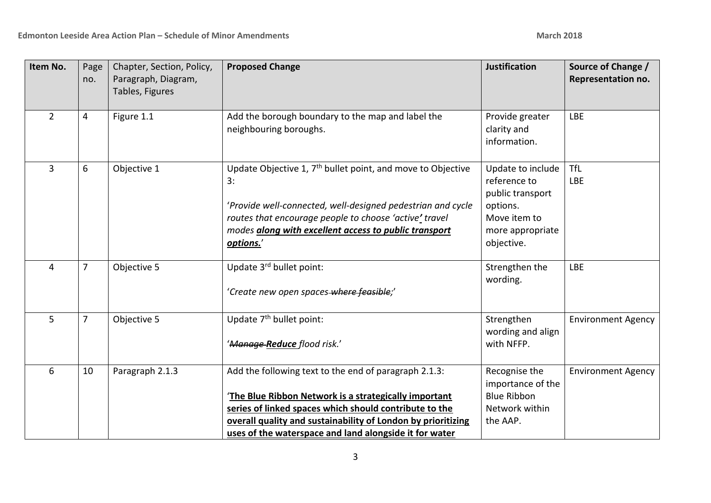| Item No.       | Page<br>no.    | Chapter, Section, Policy,<br>Paragraph, Diagram,<br>Tables, Figures | <b>Proposed Change</b>                                                                                                                                                                                                                                                                            | <b>Justification</b>                                                                                                | Source of Change /<br>Representation no. |
|----------------|----------------|---------------------------------------------------------------------|---------------------------------------------------------------------------------------------------------------------------------------------------------------------------------------------------------------------------------------------------------------------------------------------------|---------------------------------------------------------------------------------------------------------------------|------------------------------------------|
| $\overline{2}$ | 4              | Figure 1.1                                                          | Add the borough boundary to the map and label the<br>neighbouring boroughs.                                                                                                                                                                                                                       | Provide greater<br>clarity and<br>information.                                                                      | <b>LBE</b>                               |
| 3              | 6              | Objective 1                                                         | Update Objective 1, $7th$ bullet point, and move to Objective<br>3:<br>'Provide well-connected, well-designed pedestrian and cycle<br>routes that encourage people to choose 'active' travel<br>modes along with excellent access to public transport<br>options.'                                | Update to include<br>reference to<br>public transport<br>options.<br>Move item to<br>more appropriate<br>objective. | <b>TfL</b><br><b>LBE</b>                 |
| 4              | $\overline{7}$ | Objective 5                                                         | Update 3rd bullet point:<br>'Create new open spaces-where feasible;'                                                                                                                                                                                                                              | Strengthen the<br>wording.                                                                                          | <b>LBE</b>                               |
| 5              | 7              | Objective 5                                                         | Update 7 <sup>th</sup> bullet point:<br>' <del>Manage-Reduce</del> flood risk.'                                                                                                                                                                                                                   | Strengthen<br>wording and align<br>with NFFP.                                                                       | <b>Environment Agency</b>                |
| 6              | 10             | Paragraph 2.1.3                                                     | Add the following text to the end of paragraph 2.1.3:<br>The Blue Ribbon Network is a strategically important<br>series of linked spaces which should contribute to the<br>overall quality and sustainability of London by prioritizing<br>uses of the waterspace and land alongside it for water | Recognise the<br>importance of the<br><b>Blue Ribbon</b><br>Network within<br>the AAP.                              | <b>Environment Agency</b>                |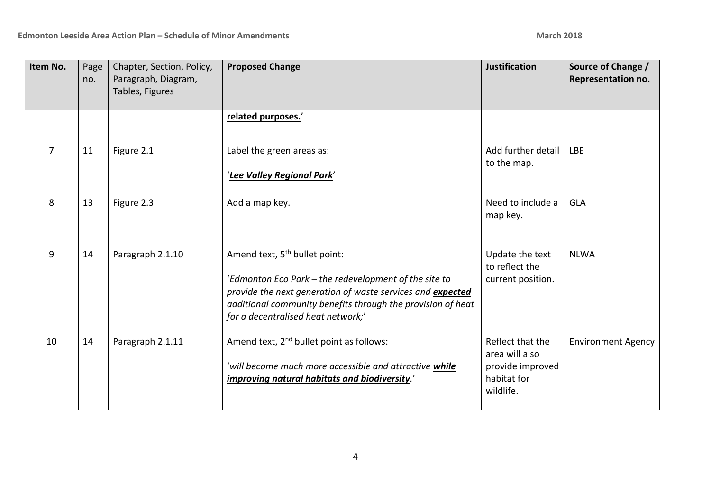| Item No.       | Page<br>no. | Chapter, Section, Policy,<br>Paragraph, Diagram,<br>Tables, Figures | <b>Proposed Change</b>                                                                                                                                                                                                                                                | <b>Justification</b>                                                               | Source of Change /<br>Representation no. |
|----------------|-------------|---------------------------------------------------------------------|-----------------------------------------------------------------------------------------------------------------------------------------------------------------------------------------------------------------------------------------------------------------------|------------------------------------------------------------------------------------|------------------------------------------|
|                |             |                                                                     | related purposes.'                                                                                                                                                                                                                                                    |                                                                                    |                                          |
| $\overline{7}$ | 11          | Figure 2.1                                                          | Label the green areas as:<br>'Lee Valley Regional Park'                                                                                                                                                                                                               | Add further detail<br>to the map.                                                  | <b>LBE</b>                               |
| 8              | 13          | Figure 2.3                                                          | Add a map key.                                                                                                                                                                                                                                                        | Need to include a<br>map key.                                                      | <b>GLA</b>                               |
| 9              | 14          | Paragraph 2.1.10                                                    | Amend text, 5 <sup>th</sup> bullet point:<br>'Edmonton Eco Park - the redevelopment of the site to<br>provide the next generation of waste services and expected<br>additional community benefits through the provision of heat<br>for a decentralised heat network;' | Update the text<br>to reflect the<br>current position.                             | <b>NLWA</b>                              |
| 10             | 14          | Paragraph 2.1.11                                                    | Amend text, 2 <sup>nd</sup> bullet point as follows:<br>'will become much more accessible and attractive while<br>improving natural habitats and biodiversity.'                                                                                                       | Reflect that the<br>area will also<br>provide improved<br>habitat for<br>wildlife. | <b>Environment Agency</b>                |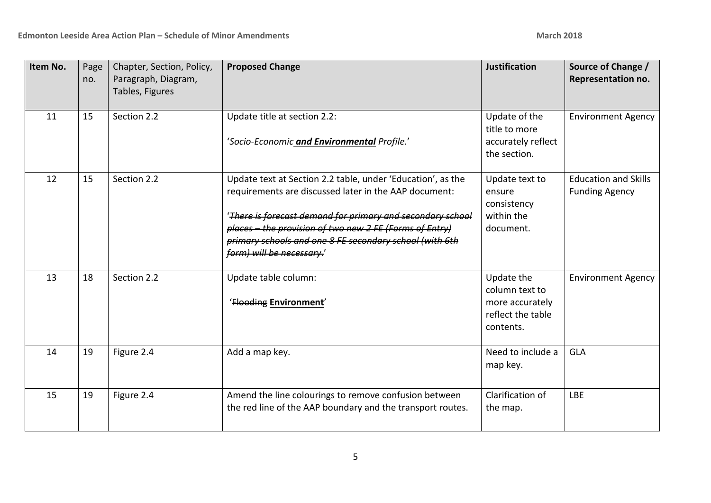| Item No. | Page<br>no. | Chapter, Section, Policy,<br>Paragraph, Diagram,<br>Tables, Figures | <b>Proposed Change</b>                                                                                                                                                                                                                                                                                                                | <b>Justification</b>                                                              | Source of Change /<br>Representation no.             |
|----------|-------------|---------------------------------------------------------------------|---------------------------------------------------------------------------------------------------------------------------------------------------------------------------------------------------------------------------------------------------------------------------------------------------------------------------------------|-----------------------------------------------------------------------------------|------------------------------------------------------|
| 11       | 15          | Section 2.2                                                         | Update title at section 2.2:<br>'Socio-Economic and Environmental Profile.'                                                                                                                                                                                                                                                           | Update of the<br>title to more<br>accurately reflect<br>the section.              | <b>Environment Agency</b>                            |
| 12       | 15          | Section 2.2                                                         | Update text at Section 2.2 table, under 'Education', as the<br>requirements are discussed later in the AAP document:<br>'There is forecast demand for primary and secondary school<br>places - the provision of two new 2 FE (Forms of Entry)<br>primary schools and one 8 FE secondary school (with 6th<br>form) will be necessary.' | Update text to<br>ensure<br>consistency<br>within the<br>document.                | <b>Education and Skills</b><br><b>Funding Agency</b> |
| 13       | 18          | Section 2.2                                                         | Update table column:<br>'Flooding Environment'                                                                                                                                                                                                                                                                                        | Update the<br>column text to<br>more accurately<br>reflect the table<br>contents. | <b>Environment Agency</b>                            |
| 14       | 19          | Figure 2.4                                                          | Add a map key.                                                                                                                                                                                                                                                                                                                        | Need to include a<br>map key.                                                     | <b>GLA</b>                                           |
| 15       | 19          | Figure 2.4                                                          | Amend the line colourings to remove confusion between<br>the red line of the AAP boundary and the transport routes.                                                                                                                                                                                                                   | Clarification of<br>the map.                                                      | <b>LBE</b>                                           |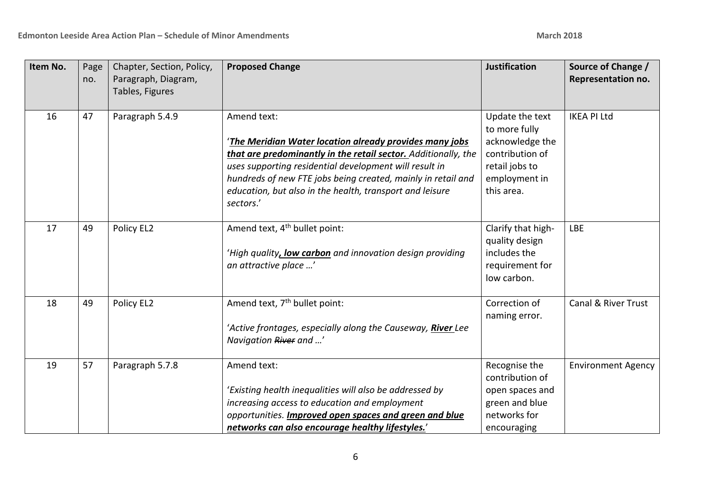| Item No. | Page<br>no. | Chapter, Section, Policy,<br>Paragraph, Diagram,<br>Tables, Figures | <b>Proposed Change</b>                                                                                                                                                                                                                                                                                                                     | <b>Justification</b>                                                                                                    | Source of Change /<br>Representation no. |
|----------|-------------|---------------------------------------------------------------------|--------------------------------------------------------------------------------------------------------------------------------------------------------------------------------------------------------------------------------------------------------------------------------------------------------------------------------------------|-------------------------------------------------------------------------------------------------------------------------|------------------------------------------|
| 16       | 47          | Paragraph 5.4.9                                                     | Amend text:<br>The Meridian Water location already provides many jobs<br>that are predominantly in the retail sector. Additionally, the<br>uses supporting residential development will result in<br>hundreds of new FTE jobs being created, mainly in retail and<br>education, but also in the health, transport and leisure<br>sectors.' | Update the text<br>to more fully<br>acknowledge the<br>contribution of<br>retail jobs to<br>employment in<br>this area. | <b>IKEA PI Ltd</b>                       |
| 17       | 49          | Policy EL2                                                          | Amend text, 4 <sup>th</sup> bullet point:<br>'High quality, low carbon and innovation design providing<br>an attractive place '                                                                                                                                                                                                            | Clarify that high-<br>quality design<br>includes the<br>requirement for<br>low carbon.                                  | <b>LBE</b>                               |
| 18       | 49          | Policy EL2                                                          | Amend text, 7 <sup>th</sup> bullet point:<br>'Active frontages, especially along the Causeway, River Lee<br>Navigation River and '                                                                                                                                                                                                         | Correction of<br>naming error.                                                                                          | Canal & River Trust                      |
| 19       | 57          | Paragraph 5.7.8                                                     | Amend text:<br>'Existing health inequalities will also be addressed by<br>increasing access to education and employment<br>opportunities. Improved open spaces and green and blue<br>networks can also encourage healthy lifestyles.'                                                                                                      | Recognise the<br>contribution of<br>open spaces and<br>green and blue<br>networks for<br>encouraging                    | <b>Environment Agency</b>                |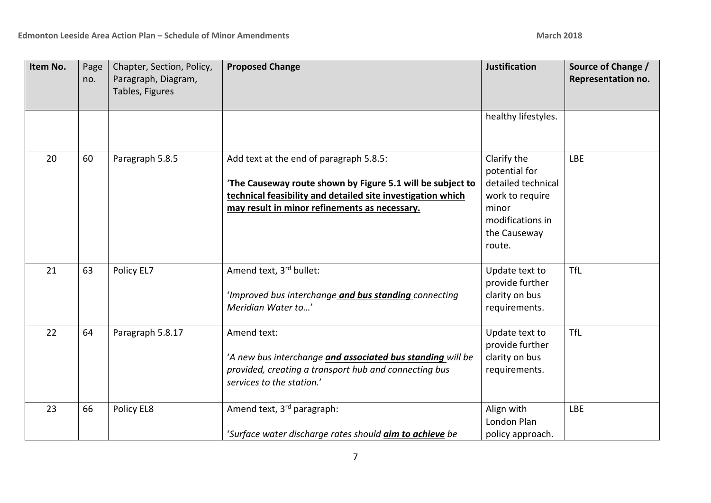| Item No. | Page<br>no. | Chapter, Section, Policy,<br>Paragraph, Diagram,<br>Tables, Figures | <b>Proposed Change</b>                                                                                                                                                                                               | <b>Justification</b>                                                                                                         | Source of Change /<br>Representation no. |
|----------|-------------|---------------------------------------------------------------------|----------------------------------------------------------------------------------------------------------------------------------------------------------------------------------------------------------------------|------------------------------------------------------------------------------------------------------------------------------|------------------------------------------|
|          |             |                                                                     |                                                                                                                                                                                                                      | healthy lifestyles.                                                                                                          |                                          |
| 20       | 60          | Paragraph 5.8.5                                                     | Add text at the end of paragraph 5.8.5:<br>The Causeway route shown by Figure 5.1 will be subject to<br>technical feasibility and detailed site investigation which<br>may result in minor refinements as necessary. | Clarify the<br>potential for<br>detailed technical<br>work to require<br>minor<br>modifications in<br>the Causeway<br>route. | <b>LBE</b>                               |
| 21       | 63          | Policy EL7                                                          | Amend text, 3rd bullet:<br>'Improved bus interchange and bus standing connecting<br>Meridian Water to'                                                                                                               | Update text to<br>provide further<br>clarity on bus<br>requirements.                                                         | <b>TfL</b>                               |
| 22       | 64          | Paragraph 5.8.17                                                    | Amend text:<br>'A new bus interchange and associated bus standing will be<br>provided, creating a transport hub and connecting bus<br>services to the station.'                                                      | Update text to<br>provide further<br>clarity on bus<br>requirements.                                                         | <b>TfL</b>                               |
| 23       | 66          | Policy EL8                                                          | Amend text, 3rd paragraph:<br>'Surface water discharge rates should aim to achieve-be                                                                                                                                | Align with<br>London Plan<br>policy approach.                                                                                | <b>LBE</b>                               |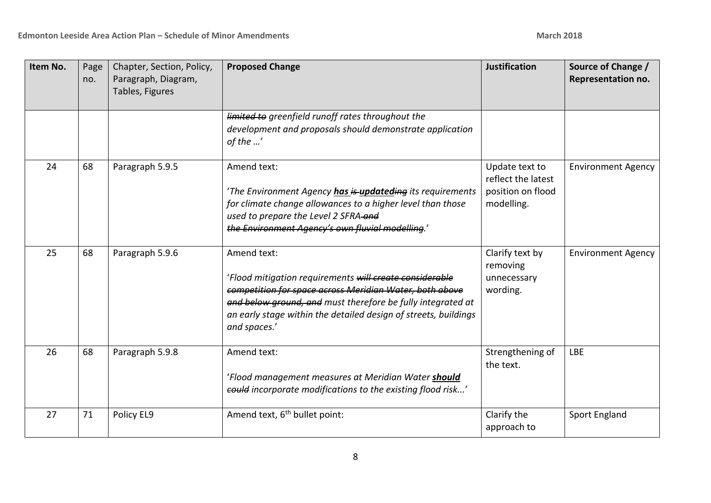| Item No. | Page<br>no. | Chapter, Section, Policy,<br>Paragraph, Diagram,<br>Tables, Figures | <b>Proposed Change</b>                                                                                                                                                                                                                                                              | <b>Justification</b>                                                    | Source of Change /<br>Representation no. |
|----------|-------------|---------------------------------------------------------------------|-------------------------------------------------------------------------------------------------------------------------------------------------------------------------------------------------------------------------------------------------------------------------------------|-------------------------------------------------------------------------|------------------------------------------|
|          |             |                                                                     | limited to greenfield runoff rates throughout the<br>development and proposals should demonstrate application<br>of the '                                                                                                                                                           |                                                                         |                                          |
| 24       | 68          | Paragraph 5.9.5                                                     | Amend text:<br>'The Environment Agency has is updateding its requirements<br>for climate change allowances to a higher level than those<br>used to prepare the Level 2 SFRA-and<br>the Environment Agency's own fluvial modelling.'                                                 | Update text to<br>reflect the latest<br>position on flood<br>modelling. | <b>Environment Agency</b>                |
| 25       | 68          | Paragraph 5.9.6                                                     | Amend text:<br>'Flood mitigation requirements will create considerable<br>competition for space across Meridian Water, both above<br>and below ground, and must therefore be fully integrated at<br>an early stage within the detailed design of streets, buildings<br>and spaces.' | Clarify text by<br>removing<br>unnecessary<br>wording.                  | <b>Environment Agency</b>                |
| 26       | 68          | Paragraph 5.9.8                                                     | Amend text:<br>'Flood management measures at Meridian Water should<br>eould incorporate modifications to the existing flood risk'                                                                                                                                                   | Strengthening of<br>the text.                                           | <b>LBE</b>                               |
| 27       | 71          | Policy EL9                                                          | Amend text, 6 <sup>th</sup> bullet point:                                                                                                                                                                                                                                           | Clarify the<br>approach to                                              | <b>Sport England</b>                     |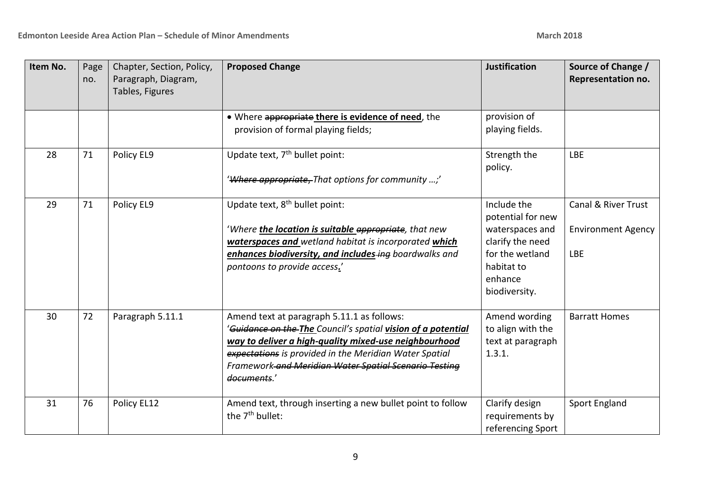| Item No. | Page<br>no. | Chapter, Section, Policy,<br>Paragraph, Diagram,<br>Tables, Figures | <b>Proposed Change</b>                                                                                                                                                                                                                                                                                | <b>Justification</b>                                                                                                                 | Source of Change /<br>Representation no.                       |
|----------|-------------|---------------------------------------------------------------------|-------------------------------------------------------------------------------------------------------------------------------------------------------------------------------------------------------------------------------------------------------------------------------------------------------|--------------------------------------------------------------------------------------------------------------------------------------|----------------------------------------------------------------|
|          |             |                                                                     | . Where appropriate there is evidence of need, the<br>provision of formal playing fields;                                                                                                                                                                                                             | provision of<br>playing fields.                                                                                                      |                                                                |
| 28       | 71          | Policy EL9                                                          | Update text, 7 <sup>th</sup> bullet point:<br>'Where appropriate, That options for community ;'                                                                                                                                                                                                       | Strength the<br>policy.                                                                                                              | <b>LBE</b>                                                     |
| 29       | 71          | Policy EL9                                                          | Update text, 8 <sup>th</sup> bullet point:<br>'Where the location is suitable appropriate, that new<br>waterspaces and wetland habitat is incorporated which<br>enhances biodiversity, and includes-ing boardwalks and<br>pontoons to provide access.'                                                | Include the<br>potential for new<br>waterspaces and<br>clarify the need<br>for the wetland<br>habitat to<br>enhance<br>biodiversity. | Canal & River Trust<br><b>Environment Agency</b><br><b>LBE</b> |
| 30       | 72          | Paragraph 5.11.1                                                    | Amend text at paragraph 5.11.1 as follows:<br>'Guidance on the The Council's spatial vision of a potential<br>way to deliver a high-quality mixed-use neighbourhood<br>expectations is provided in the Meridian Water Spatial<br>Framework and Meridian Water Spatial Scenario Testing<br>documents.' | Amend wording<br>to align with the<br>text at paragraph<br>1.3.1.                                                                    | <b>Barratt Homes</b>                                           |
| 31       | 76          | Policy EL12                                                         | Amend text, through inserting a new bullet point to follow<br>the 7 <sup>th</sup> bullet:                                                                                                                                                                                                             | Clarify design<br>requirements by<br>referencing Sport                                                                               | <b>Sport England</b>                                           |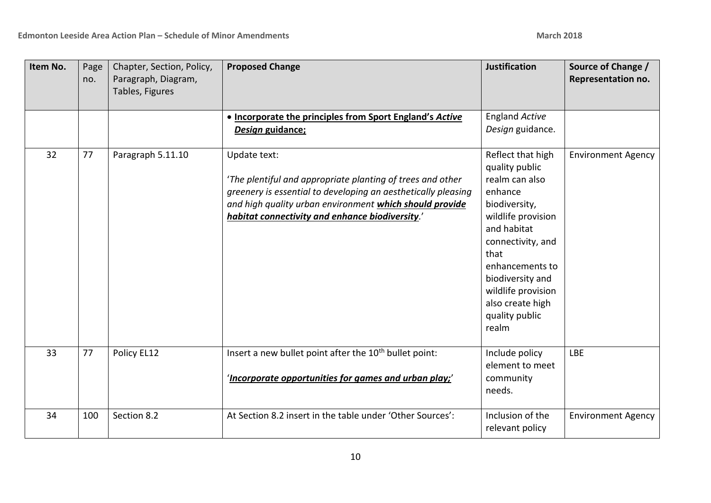| Item No. | Page<br>no. | Chapter, Section, Policy,<br>Paragraph, Diagram,<br>Tables, Figures | <b>Proposed Change</b>                                                                                                                                                                                                                                    | <b>Justification</b>                                                                                                                                                                                                                                            | Source of Change /<br>Representation no. |
|----------|-------------|---------------------------------------------------------------------|-----------------------------------------------------------------------------------------------------------------------------------------------------------------------------------------------------------------------------------------------------------|-----------------------------------------------------------------------------------------------------------------------------------------------------------------------------------------------------------------------------------------------------------------|------------------------------------------|
|          |             |                                                                     | . Incorporate the principles from Sport England's Active<br>Design guidance;                                                                                                                                                                              | <b>England Active</b><br>Design guidance.                                                                                                                                                                                                                       |                                          |
| 32       | 77          | Paragraph 5.11.10                                                   | Update text:<br>'The plentiful and appropriate planting of trees and other<br>greenery is essential to developing an aesthetically pleasing<br>and high quality urban environment which should provide<br>habitat connectivity and enhance biodiversity.' | Reflect that high<br>quality public<br>realm can also<br>enhance<br>biodiversity,<br>wildlife provision<br>and habitat<br>connectivity, and<br>that<br>enhancements to<br>biodiversity and<br>wildlife provision<br>also create high<br>quality public<br>realm | <b>Environment Agency</b>                |
| 33       | 77          | Policy EL12                                                         | Insert a new bullet point after the 10 <sup>th</sup> bullet point:<br>'Incorporate opportunities for games and urban play;'                                                                                                                               | Include policy<br>element to meet<br>community<br>needs.                                                                                                                                                                                                        | <b>LBE</b>                               |
| 34       | 100         | Section 8.2                                                         | At Section 8.2 insert in the table under 'Other Sources':                                                                                                                                                                                                 | Inclusion of the<br>relevant policy                                                                                                                                                                                                                             | <b>Environment Agency</b>                |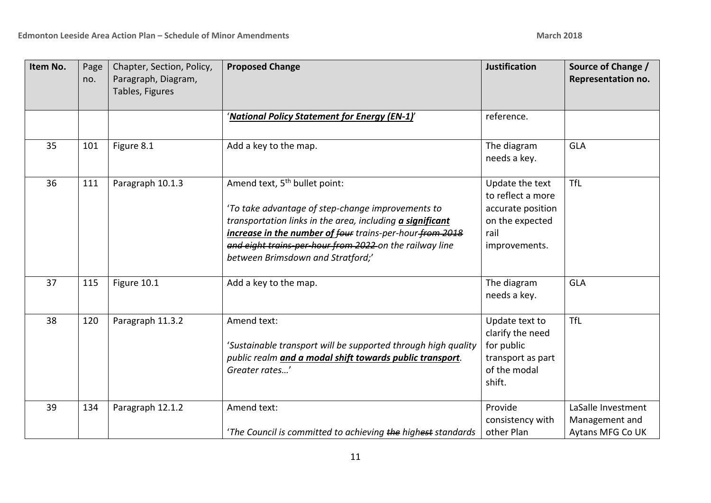| Item No. | Page<br>no. | Chapter, Section, Policy,<br>Paragraph, Diagram,<br>Tables, Figures | <b>Proposed Change</b>                                                                                                                                                                                                                                                                                                         | <b>Justification</b>                                                                                  | Source of Change /<br>Representation no.                 |
|----------|-------------|---------------------------------------------------------------------|--------------------------------------------------------------------------------------------------------------------------------------------------------------------------------------------------------------------------------------------------------------------------------------------------------------------------------|-------------------------------------------------------------------------------------------------------|----------------------------------------------------------|
|          |             |                                                                     | 'National Policy Statement for Energy (EN-1)'                                                                                                                                                                                                                                                                                  | reference.                                                                                            |                                                          |
| 35       | 101         | Figure 8.1                                                          | Add a key to the map.                                                                                                                                                                                                                                                                                                          | The diagram<br>needs a key.                                                                           | GLA                                                      |
| 36       | 111         | Paragraph 10.1.3                                                    | Amend text, 5 <sup>th</sup> bullet point:<br>'To take advantage of step-change improvements to<br>transportation links in the area, including <i>a significant</i><br>increase in the number of four trains-per-hour-from 2018<br>and eight trains-per-hour from 2022 on the railway line<br>between Brimsdown and Stratford;' | Update the text<br>to reflect a more<br>accurate position<br>on the expected<br>rail<br>improvements. | <b>TfL</b>                                               |
| 37       | 115         | Figure 10.1                                                         | Add a key to the map.                                                                                                                                                                                                                                                                                                          | The diagram<br>needs a key.                                                                           | <b>GLA</b>                                               |
| 38       | 120         | Paragraph 11.3.2                                                    | Amend text:<br>'Sustainable transport will be supported through high quality<br>public realm and a modal shift towards public transport.<br>Greater rates'                                                                                                                                                                     | Update text to<br>clarify the need<br>for public<br>transport as part<br>of the modal<br>shift.       | <b>TfL</b>                                               |
| 39       | 134         | Paragraph 12.1.2                                                    | Amend text:<br>'The Council is committed to achieving the highest standards                                                                                                                                                                                                                                                    | Provide<br>consistency with<br>other Plan                                                             | LaSalle Investment<br>Management and<br>Aytans MFG Co UK |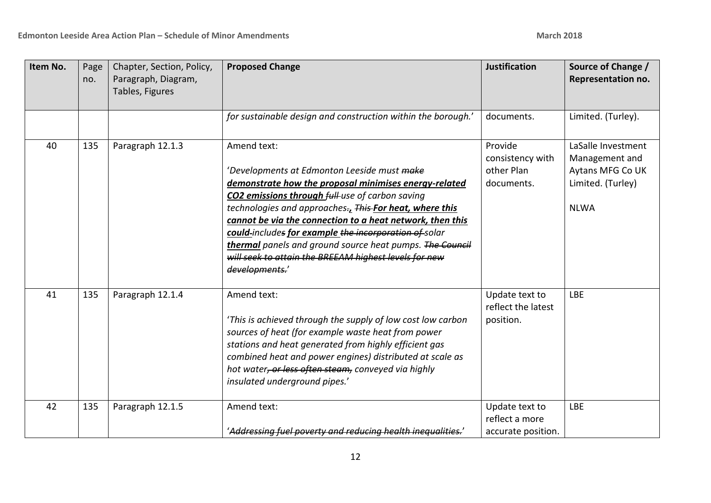| Item No. | Page<br>no. | Chapter, Section, Policy,<br>Paragraph, Diagram,<br>Tables, Figures | <b>Proposed Change</b>                                                                                                                                                                                                                                                                                                                                                                                                                                                                                           | <b>Justification</b>                                    | Source of Change /<br>Representation no.                                                     |
|----------|-------------|---------------------------------------------------------------------|------------------------------------------------------------------------------------------------------------------------------------------------------------------------------------------------------------------------------------------------------------------------------------------------------------------------------------------------------------------------------------------------------------------------------------------------------------------------------------------------------------------|---------------------------------------------------------|----------------------------------------------------------------------------------------------|
|          |             |                                                                     | for sustainable design and construction within the borough.'                                                                                                                                                                                                                                                                                                                                                                                                                                                     | documents.                                              | Limited. (Turley).                                                                           |
| 40       | 135         | Paragraph 12.1.3                                                    | Amend text:<br>'Developments at Edmonton Leeside must <del>make</del><br>demonstrate how the proposal minimises energy-related<br><b>CO2 emissions through full-use of carbon saving</b><br>technologies and approaches-, This-For heat, where this<br>cannot be via the connection to a heat network, then this<br>could-includes for example the incorporation of solar<br>thermal panels and ground source heat pumps. The Council<br>will seek to attain the BREEAM highest levels for new<br>developments.' | Provide<br>consistency with<br>other Plan<br>documents. | LaSalle Investment<br>Management and<br>Aytans MFG Co UK<br>Limited. (Turley)<br><b>NLWA</b> |
| 41       | 135         | Paragraph 12.1.4                                                    | Amend text:<br>'This is achieved through the supply of low cost low carbon<br>sources of heat (for example waste heat from power<br>stations and heat generated from highly efficient gas<br>combined heat and power engines) distributed at scale as<br>hot water <del>, or less often steam,</del> conveyed via highly<br>insulated underground pipes.'                                                                                                                                                        | Update text to<br>reflect the latest<br>position.       | <b>LBE</b>                                                                                   |
| 42       | 135         | Paragraph 12.1.5                                                    | Amend text:<br>'Addressing fuel poverty and reducing health inequalities.'                                                                                                                                                                                                                                                                                                                                                                                                                                       | Update text to<br>reflect a more<br>accurate position.  | <b>LBE</b>                                                                                   |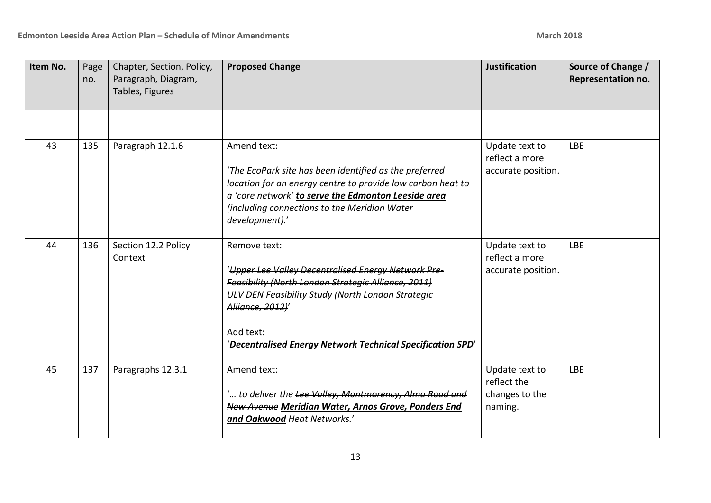| Item No. | Page<br>no. | Chapter, Section, Policy,<br>Paragraph, Diagram,<br>Tables, Figures | <b>Proposed Change</b>                                                                                                                                                                                                                                                                | <b>Justification</b>                                       | Source of Change /<br>Representation no. |
|----------|-------------|---------------------------------------------------------------------|---------------------------------------------------------------------------------------------------------------------------------------------------------------------------------------------------------------------------------------------------------------------------------------|------------------------------------------------------------|------------------------------------------|
|          |             |                                                                     |                                                                                                                                                                                                                                                                                       |                                                            |                                          |
| 43       | 135         | Paragraph 12.1.6                                                    | Amend text:<br>'The EcoPark site has been identified as the preferred<br>location for an energy centre to provide low carbon heat to<br>a 'core network' to serve the Edmonton Leeside area<br><b>(including connections to the Meridian Water</b><br>development).'                  | Update text to<br>reflect a more<br>accurate position.     | <b>LBE</b>                               |
| 44       | 136         | Section 12.2 Policy<br>Context                                      | Remove text:<br>'Upper Lee Valley Decentralised Energy Network Pre-<br>Feasibility (North London Strategic Alliance, 2011)<br><b>ULV DEN Feasibility Study (North London Strategie</b><br>Alliance, 2012)'<br>Add text:<br>'Decentralised Energy Network Technical Specification SPD' | Update text to<br>reflect a more<br>accurate position.     | <b>LBE</b>                               |
| 45       | 137         | Paragraphs 12.3.1                                                   | Amend text:<br>' to deliver the Lee Valley, Montmorency, Alma Road and<br>New Avenue Meridian Water, Arnos Grove, Ponders End<br>and Oakwood Heat Networks.'                                                                                                                          | Update text to<br>reflect the<br>changes to the<br>naming. | <b>LBE</b>                               |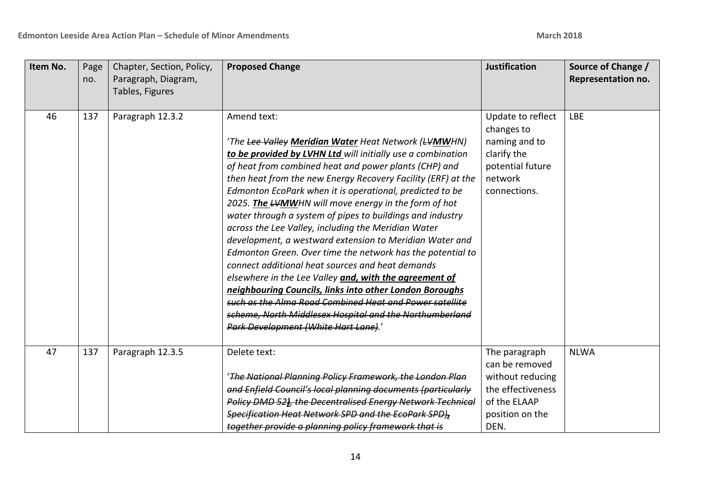| Item No. | Page<br>no. | Chapter, Section, Policy,<br>Paragraph, Diagram,<br>Tables, Figures | <b>Proposed Change</b>                                                                                                                                                                                                                                                                                                                                                                                                                                                                                                                                                                                                                                                                                                                                                                                                                                                                                                                                              | <b>Justification</b>                                                                                                | Source of Change /<br>Representation no. |
|----------|-------------|---------------------------------------------------------------------|---------------------------------------------------------------------------------------------------------------------------------------------------------------------------------------------------------------------------------------------------------------------------------------------------------------------------------------------------------------------------------------------------------------------------------------------------------------------------------------------------------------------------------------------------------------------------------------------------------------------------------------------------------------------------------------------------------------------------------------------------------------------------------------------------------------------------------------------------------------------------------------------------------------------------------------------------------------------|---------------------------------------------------------------------------------------------------------------------|------------------------------------------|
| 46       | 137         | Paragraph 12.3.2                                                    | Amend text:<br>'The Lee Valley Meridian Water Heat Network (LVMWHN)<br>to be provided by LVHN Ltd will initially use a combination<br>of heat from combined heat and power plants (CHP) and<br>then heat from the new Energy Recovery Facility (ERF) at the<br>Edmonton EcoPark when it is operational, predicted to be<br>2025. The LVMWHN will move energy in the form of hot<br>water through a system of pipes to buildings and industry<br>across the Lee Valley, including the Meridian Water<br>development, a westward extension to Meridian Water and<br>Edmonton Green. Over time the network has the potential to<br>connect additional heat sources and heat demands<br>elsewhere in the Lee Valley and, with the agreement of<br>neighbouring Councils, links into other London Boroughs<br>such as the Alma Road Combined Heat and Power satellite<br>scheme, North Middlesex Hospital and the Northumberland<br>Park Development (White Hart Lane).' | Update to reflect<br>changes to<br>naming and to<br>clarify the<br>potential future<br>network<br>connections.      | <b>LBE</b>                               |
| 47       | 137         | Paragraph 12.3.5                                                    | Delete text:<br>'The National Planning Policy Framework, the London Plan<br>and Enfield Council's local planning documents (particularly<br>Policy DMD 52), the Decentralised Energy Network Technical<br>Specification Heat Network SPD and the EcoPark SPD),<br>together provide a planning policy framework that is                                                                                                                                                                                                                                                                                                                                                                                                                                                                                                                                                                                                                                              | The paragraph<br>can be removed<br>without reducing<br>the effectiveness<br>of the ELAAP<br>position on the<br>DEN. | <b>NLWA</b>                              |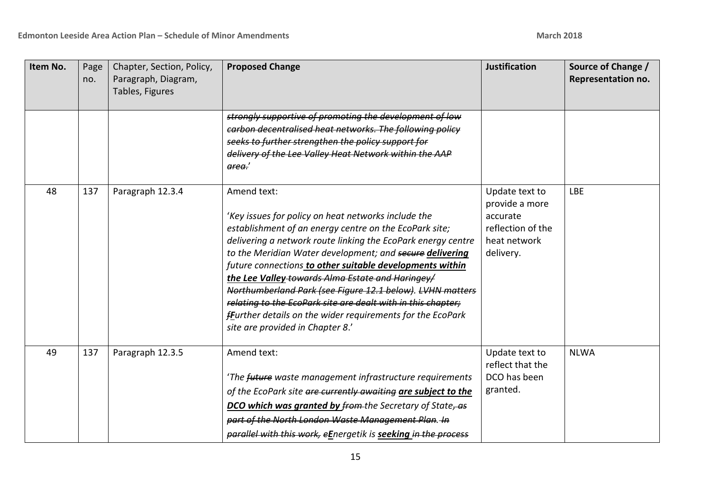| Item No. | Page<br>no. | Chapter, Section, Policy,<br>Paragraph, Diagram,<br>Tables, Figures | <b>Proposed Change</b>                                                                                                                                                                                                                                                                                                                                                                                                                                                                                                                                                                                  | <b>Justification</b>                                                                           | Source of Change /<br>Representation no. |
|----------|-------------|---------------------------------------------------------------------|---------------------------------------------------------------------------------------------------------------------------------------------------------------------------------------------------------------------------------------------------------------------------------------------------------------------------------------------------------------------------------------------------------------------------------------------------------------------------------------------------------------------------------------------------------------------------------------------------------|------------------------------------------------------------------------------------------------|------------------------------------------|
|          |             |                                                                     | strongly supportive of promoting the development of low<br>carbon decentralised heat networks. The following policy<br>seeks to further strengthen the policy support for<br>delivery of the Lee Valley Heat Network within the AAP<br>area.'                                                                                                                                                                                                                                                                                                                                                           |                                                                                                |                                          |
| 48       | 137         | Paragraph 12.3.4                                                    | Amend text:<br>'Key issues for policy on heat networks include the<br>establishment of an energy centre on the EcoPark site;<br>delivering a network route linking the EcoPark energy centre<br>to the Meridian Water development; and secure delivering<br>future connections to other suitable developments within<br>the Lee Valley towards Alma Estate and Haringey/<br>Northumberland Park (see Figure 12.1 below). LVHN matters<br>relating to the EcoPark site are dealt with in this chapter;<br>fFurther details on the wider requirements for the EcoPark<br>site are provided in Chapter 8.' | Update text to<br>provide a more<br>accurate<br>reflection of the<br>heat network<br>delivery. | <b>LBE</b>                               |
| 49       | 137         | Paragraph 12.3.5                                                    | Amend text:<br>'The future waste management infrastructure requirements<br>of the EcoPark site are currently awaiting are subject to the<br>DCO which was granted by from the Secretary of State, as<br>part of the North London Waste Management Plan. In<br>parallel with this work, eEnergetik is seeking in the process                                                                                                                                                                                                                                                                             | Update text to<br>reflect that the<br>DCO has been<br>granted.                                 | <b>NLWA</b>                              |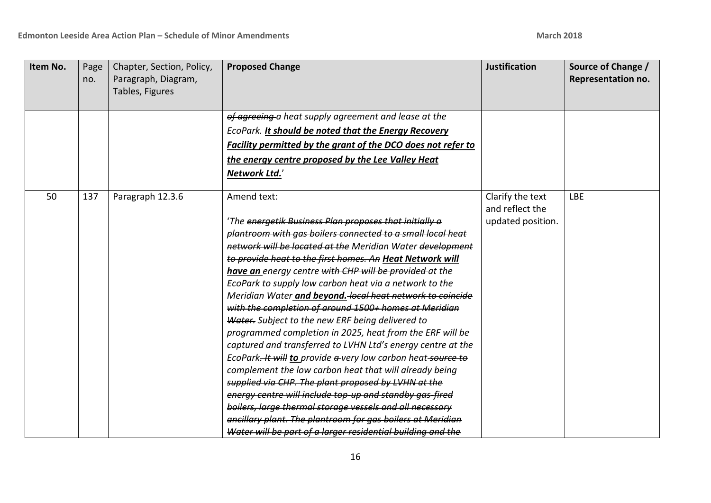| Item No. | Page<br>no. | Chapter, Section, Policy,<br>Paragraph, Diagram,<br>Tables, Figures | <b>Proposed Change</b>                                       | <b>Justification</b> | Source of Change /<br>Representation no. |
|----------|-------------|---------------------------------------------------------------------|--------------------------------------------------------------|----------------------|------------------------------------------|
|          |             |                                                                     |                                                              |                      |                                          |
|          |             |                                                                     | of agreeing a heat supply agreement and lease at the         |                      |                                          |
|          |             |                                                                     | EcoPark. It should be noted that the Energy Recovery         |                      |                                          |
|          |             |                                                                     | Facility permitted by the grant of the DCO does not refer to |                      |                                          |
|          |             |                                                                     | the energy centre proposed by the Lee Valley Heat            |                      |                                          |
|          |             |                                                                     | Network Ltd.'                                                |                      |                                          |
|          |             |                                                                     |                                                              |                      |                                          |
| 50       | 137         | Paragraph 12.3.6                                                    | Amend text:                                                  | Clarify the text     | <b>LBE</b>                               |
|          |             |                                                                     |                                                              | and reflect the      |                                          |
|          |             |                                                                     | 'The energetik Business Plan proposes that initially a       | updated position.    |                                          |
|          |             |                                                                     | plantroom with gas boilers connected to a small local heat   |                      |                                          |
|          |             |                                                                     | network will be located at the Meridian Water development    |                      |                                          |
|          |             |                                                                     | to provide heat to the first homes. An Heat Network will     |                      |                                          |
|          |             |                                                                     | have an energy centre with CHP will be provided at the       |                      |                                          |
|          |             |                                                                     | EcoPark to supply low carbon heat via a network to the       |                      |                                          |
|          |             |                                                                     | Meridian Water and beyond. local heat network to coincide    |                      |                                          |
|          |             |                                                                     | with the completion of around 1500+ homes at Meridian        |                      |                                          |
|          |             |                                                                     | Water. Subject to the new ERF being delivered to             |                      |                                          |
|          |             |                                                                     | programmed completion in 2025, heat from the ERF will be     |                      |                                          |
|          |             |                                                                     | captured and transferred to LVHN Ltd's energy centre at the  |                      |                                          |
|          |             |                                                                     | EcoPark-It will to provide a-very low carbon heat-source to  |                      |                                          |
|          |             |                                                                     | complement the low carbon heat that will already being       |                      |                                          |
|          |             |                                                                     | supplied via CHP. The plant proposed by LVHN at the          |                      |                                          |
|          |             |                                                                     | energy centre will include top up and standby gas fired      |                      |                                          |
|          |             |                                                                     | boilers, large thermal storage vessels and all necessary     |                      |                                          |
|          |             |                                                                     | encillary plant. The plantroom for gas boilers at Meridian   |                      |                                          |
|          |             |                                                                     | Water will be part of a larger residential building and the  |                      |                                          |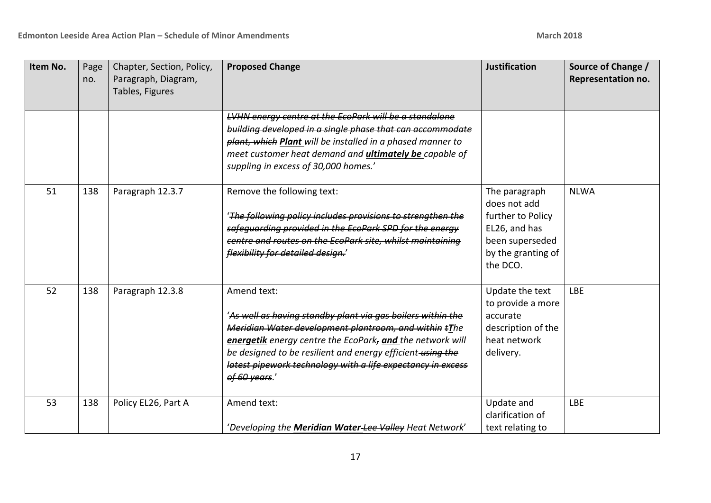| Item No. | Page<br>no. | Chapter, Section, Policy,<br>Paragraph, Diagram,<br>Tables, Figures | <b>Proposed Change</b>                                                                                                                                                                                                                                                                                                                         | <b>Justification</b>                                                                                                     | Source of Change /<br>Representation no. |
|----------|-------------|---------------------------------------------------------------------|------------------------------------------------------------------------------------------------------------------------------------------------------------------------------------------------------------------------------------------------------------------------------------------------------------------------------------------------|--------------------------------------------------------------------------------------------------------------------------|------------------------------------------|
|          |             |                                                                     | LVHN energy centre at the EcoPark will be a standalone<br>building developed in a single phase that can accommodate<br>plant, which Plant will be installed in a phased manner to<br>meet customer heat demand and <i>ultimately be capable of</i><br>suppling in excess of 30,000 homes.'                                                     |                                                                                                                          |                                          |
| 51       | 138         | Paragraph 12.3.7                                                    | Remove the following text:<br>'The following policy includes provisions to strengthen the<br>safequarding provided in the EcoPark SPD for the energy<br>centre and routes on the EcoPark site, whilst maintaining<br>flexibility for detailed design.'                                                                                         | The paragraph<br>does not add<br>further to Policy<br>EL26, and has<br>been superseded<br>by the granting of<br>the DCO. | <b>NLWA</b>                              |
| 52       | 138         | Paragraph 12.3.8                                                    | Amend text:<br>'As well as having standby plant via gas boilers within the<br>Meridian Water development plantroom, and within tThe<br>energetik energy centre the EcoPark, and the network will<br>be designed to be resilient and energy efficient-using the<br>latest pipework technology with a life expectancy in excess<br>of 60 years.' | Update the text<br>to provide a more<br>accurate<br>description of the<br>heat network<br>delivery.                      | <b>LBE</b>                               |
| 53       | 138         | Policy EL26, Part A                                                 | Amend text:<br>'Developing the Meridian Water-Lee-Valley Heat Network'                                                                                                                                                                                                                                                                         | Update and<br>clarification of<br>text relating to                                                                       | <b>LBE</b>                               |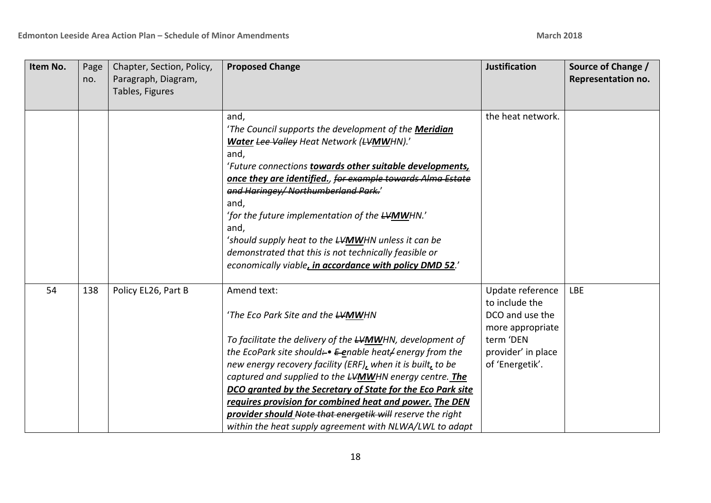| Item No. | Page<br>no. | Chapter, Section, Policy,<br>Paragraph, Diagram,<br>Tables, Figures | <b>Proposed Change</b>                                                                                                                                                                                                                                                                                                                                                                                                                                                                                                                                                   | <b>Justification</b>                                                                                                            | Source of Change /<br>Representation no. |
|----------|-------------|---------------------------------------------------------------------|--------------------------------------------------------------------------------------------------------------------------------------------------------------------------------------------------------------------------------------------------------------------------------------------------------------------------------------------------------------------------------------------------------------------------------------------------------------------------------------------------------------------------------------------------------------------------|---------------------------------------------------------------------------------------------------------------------------------|------------------------------------------|
|          |             |                                                                     | and,<br>'The Council supports the development of the Meridian<br>Water Lee Valley Heat Network (LVMWHN).'<br>and,<br>'Future connections towards other suitable developments,<br>once they are identified., for example towards Alma Estate<br>and Haringey/ Northumberland Park.'<br>and,<br>'for the future implementation of the LYMWHN.'<br>and,<br>'should supply heat to the LVMWHN unless it can be<br>demonstrated that this is not technically feasible or<br>economically viable, in accordance with policy DMD 52.'                                           | the heat network.                                                                                                               |                                          |
| 54       | 138         | Policy EL26, Part B                                                 | Amend text:<br>'The Eco Park Site and the <del>LV</del> MWHN<br>To facilitate the delivery of the LVMWHN, development of<br>the EcoPark site should: • E-enable heat/ energy from the<br>new energy recovery facility (ERF), when it is built, to be<br>captured and supplied to the <b>LVMWHN</b> energy centre. The<br>DCO granted by the Secretary of State for the Eco Park site<br>requires provision for combined heat and power. The DEN<br>provider should Note that energetik will reserve the right<br>within the heat supply agreement with NLWA/LWL to adapt | Update reference<br>to include the<br>DCO and use the<br>more appropriate<br>term 'DEN<br>provider' in place<br>of 'Energetik'. | <b>LBE</b>                               |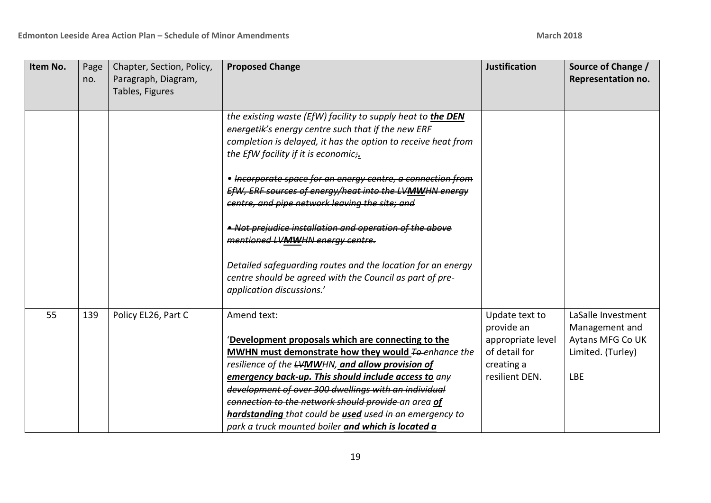| Item No. | Page<br>no. | Chapter, Section, Policy,<br>Paragraph, Diagram,<br>Tables, Figures | <b>Proposed Change</b>                                                                                                                                                                                                                                                                                                                                                                                                                                                                                                                                                                                                                                      | <b>Justification</b>                                                                               | Source of Change /<br>Representation no.                                                    |
|----------|-------------|---------------------------------------------------------------------|-------------------------------------------------------------------------------------------------------------------------------------------------------------------------------------------------------------------------------------------------------------------------------------------------------------------------------------------------------------------------------------------------------------------------------------------------------------------------------------------------------------------------------------------------------------------------------------------------------------------------------------------------------------|----------------------------------------------------------------------------------------------------|---------------------------------------------------------------------------------------------|
|          |             |                                                                     | the existing waste (EfW) facility to supply heat to the DEN<br>energetik's energy centre such that if the new ERF<br>completion is delayed, it has the option to receive heat from<br>the EfW facility if it is economic;.<br>• Incorporate space for an energy centre, a connection from<br>EfW, ERF sources of energy/heat into the LVMWHN energy<br>centre, and pipe network leaving the site; and<br>• Not prejudice installation and operation of the above<br>mentioned LVMWHN energy centre.<br>Detailed safeguarding routes and the location for an energy<br>centre should be agreed with the Council as part of pre-<br>application discussions.' |                                                                                                    |                                                                                             |
| 55       | 139         | Policy EL26, Part C                                                 | Amend text:<br>'Development proposals which are connecting to the<br>MWHN must demonstrate how they would <b>To-enhance the</b><br>resilience of the <b>LVMWHN</b> , and allow provision of<br>emergency back-up. This should include access to any<br>development of over 300 dwellings with an individual<br>connection to the network should provide an area of<br>hardstanding that could be used used in an emergency to<br>park a truck mounted boiler and which is located a                                                                                                                                                                         | Update text to<br>provide an<br>appropriate level<br>of detail for<br>creating a<br>resilient DEN. | LaSalle Investment<br>Management and<br>Aytans MFG Co UK<br>Limited. (Turley)<br><b>LBE</b> |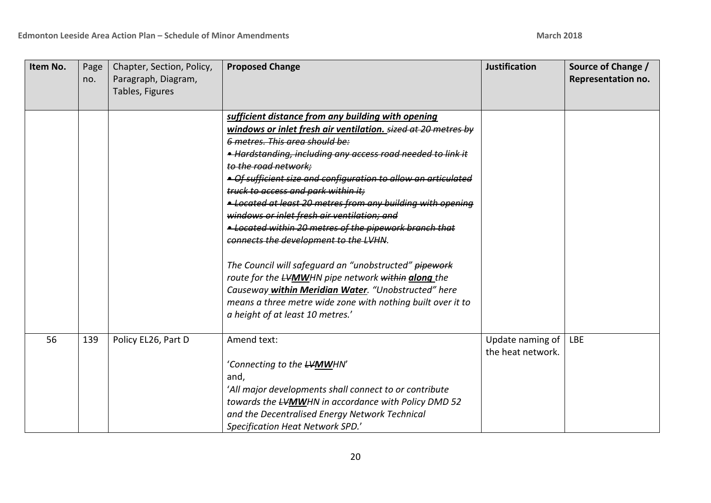| Item No. | Page<br>no. | Chapter, Section, Policy,<br>Paragraph, Diagram,<br>Tables, Figures | <b>Proposed Change</b>                                                                                                                                                                                                                                                                                                                                                                                                                                                                                                                                                                                                                                                                                                                                                                                                                          | <b>Justification</b>                  | Source of Change /<br>Representation no. |
|----------|-------------|---------------------------------------------------------------------|-------------------------------------------------------------------------------------------------------------------------------------------------------------------------------------------------------------------------------------------------------------------------------------------------------------------------------------------------------------------------------------------------------------------------------------------------------------------------------------------------------------------------------------------------------------------------------------------------------------------------------------------------------------------------------------------------------------------------------------------------------------------------------------------------------------------------------------------------|---------------------------------------|------------------------------------------|
|          |             |                                                                     | sufficient distance from any building with opening<br>windows or inlet fresh air ventilation. sized at 20 metres by<br>6 metres. This area should be:<br>• Hardstanding, including any access road needed to link it<br>to the road network;<br>• Of sufficient size and configuration to allow an articulated<br>truck to access and park within it:<br>• Located at least 20 metres from any building with opening<br>windows or inlet fresh air ventilation; and<br>- Located within 20 metres of the pipework branch that<br>connects the development to the LVHN.<br>The Council will safeguard an "unobstructed" pipework<br>route for the LVMWHN pipe network within along the<br>Causeway within Meridian Water. "Unobstructed" here<br>means a three metre wide zone with nothing built over it to<br>a height of at least 10 metres.' |                                       |                                          |
| 56       | 139         | Policy EL26, Part D                                                 | Amend text:<br>'Connecting to the <del>LVMW</del> HN'<br>and,<br>'All major developments shall connect to or contribute<br>towards the <b>LVMW</b> HN in accordance with Policy DMD 52<br>and the Decentralised Energy Network Technical<br>Specification Heat Network SPD.'                                                                                                                                                                                                                                                                                                                                                                                                                                                                                                                                                                    | Update naming of<br>the heat network. | <b>LBE</b>                               |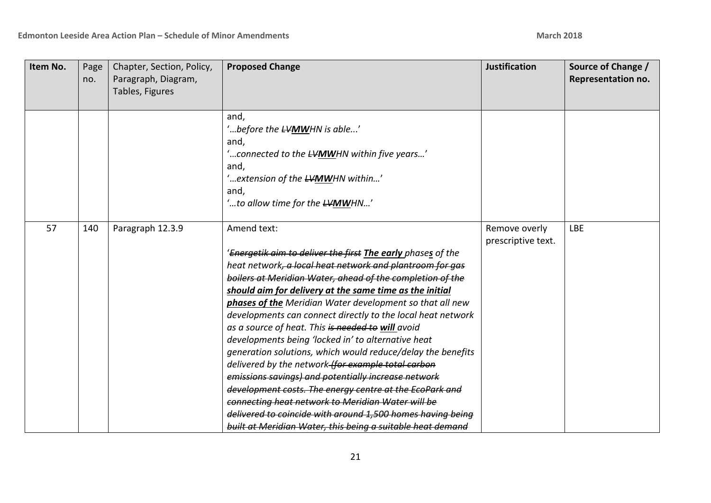| Item No. | Page<br>no. | Chapter, Section, Policy,<br>Paragraph, Diagram,<br>Tables, Figures | <b>Proposed Change</b>                                                                                                                                                                                                                                                                                                                                                                                                                                                                                                                                                                                                                                                                                                                                                                                                                                                                                                      | <b>Justification</b>                | Source of Change /<br>Representation no. |
|----------|-------------|---------------------------------------------------------------------|-----------------------------------------------------------------------------------------------------------------------------------------------------------------------------------------------------------------------------------------------------------------------------------------------------------------------------------------------------------------------------------------------------------------------------------------------------------------------------------------------------------------------------------------------------------------------------------------------------------------------------------------------------------------------------------------------------------------------------------------------------------------------------------------------------------------------------------------------------------------------------------------------------------------------------|-------------------------------------|------------------------------------------|
|          |             |                                                                     | and,<br>"before the <b>LVMWHN</b> is able"<br>and,<br>'connected to the LVMWHN within five years'<br>and,<br>'extension of the LVMWHN within'<br>and,<br>'to allow time for the <del>LVMW</del> HN'                                                                                                                                                                                                                                                                                                                                                                                                                                                                                                                                                                                                                                                                                                                         |                                     |                                          |
| 57       | 140         | Paragraph 12.3.9                                                    | Amend text:<br>'Energetik aim to deliver the first The early phases of the<br>heat network, a local heat network and plantroom for gas<br>boilers at Meridian Water, ahead of the completion of the<br>should aim for delivery at the same time as the initial<br>phases of the Meridian Water development so that all new<br>developments can connect directly to the local heat network<br>as a source of heat. This is needed to will avoid<br>developments being 'locked in' to alternative heat<br>generation solutions, which would reduce/delay the benefits<br>delivered by the network-for example total carbon<br>emissions savings) and potentially increase network<br>development costs. The energy centre at the EcoPark and<br>connecting heat network to Meridian Water will be<br>delivered to coincide with around 1,500 homes having being<br>built at Meridian Water, this being a suitable heat demand | Remove overly<br>prescriptive text. | <b>LBE</b>                               |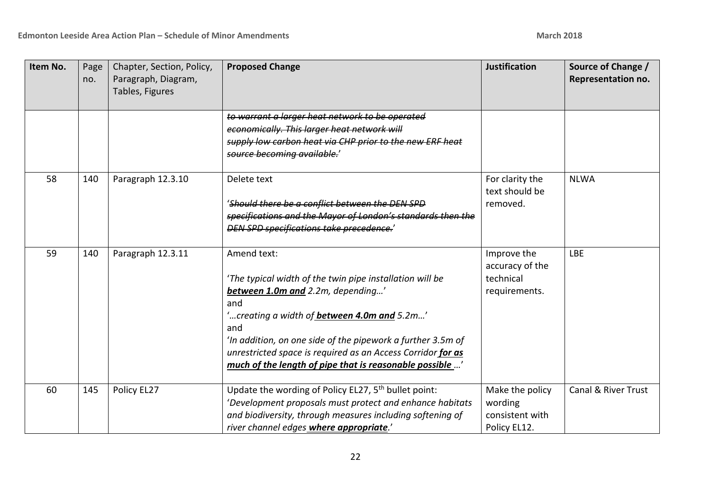| Item No. | Page<br>no. | Chapter, Section, Policy,<br>Paragraph, Diagram,<br>Tables, Figures | <b>Proposed Change</b>                                                                                                                                                                                                                                                                                                                                                     | <b>Justification</b>                                          | Source of Change /<br>Representation no. |
|----------|-------------|---------------------------------------------------------------------|----------------------------------------------------------------------------------------------------------------------------------------------------------------------------------------------------------------------------------------------------------------------------------------------------------------------------------------------------------------------------|---------------------------------------------------------------|------------------------------------------|
|          |             |                                                                     | to warrant a larger heat network to be operated<br>economically. This larger heat network will<br>supply low carbon heat via CHP prior to the new ERF heat<br>source becoming available.'                                                                                                                                                                                  |                                                               |                                          |
| 58       | 140         | Paragraph 12.3.10                                                   | Delete text<br>'Should there be a conflict between the DEN SPD<br>specifications and the Mayor of London's standards then the<br>DEN SPD specifications take precedence.'                                                                                                                                                                                                  | For clarity the<br>text should be<br>removed.                 | <b>NLWA</b>                              |
| 59       | 140         | Paragraph 12.3.11                                                   | Amend text:<br>'The typical width of the twin pipe installation will be<br>between 1.0m and 2.2m, depending'<br>and<br>'creating a width of <b>between 4.0m and</b> 5.2m'<br>and<br>'In addition, on one side of the pipework a further 3.5m of<br>unrestricted space is required as an Access Corridor for as<br>much of the length of pipe that is reasonable possible ' | Improve the<br>accuracy of the<br>technical<br>requirements.  | <b>LBE</b>                               |
| 60       | 145         | Policy EL27                                                         | Update the wording of Policy EL27, 5 <sup>th</sup> bullet point:<br>'Development proposals must protect and enhance habitats<br>and biodiversity, through measures including softening of<br>river channel edges where appropriate.'                                                                                                                                       | Make the policy<br>wording<br>consistent with<br>Policy EL12. | Canal & River Trust                      |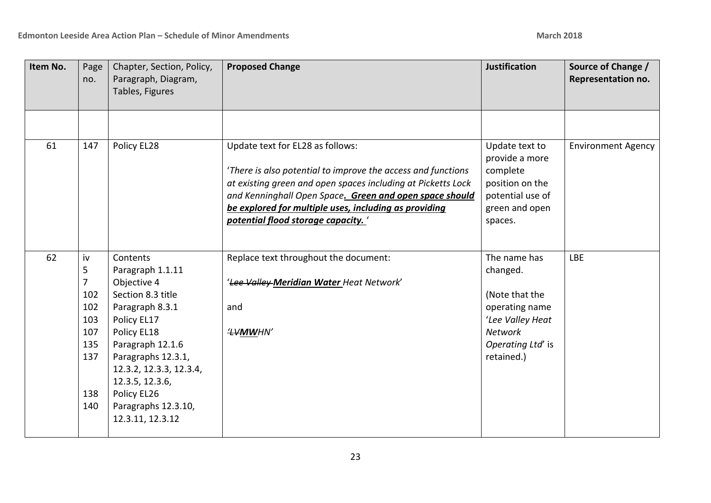| Item No. | Page<br>no.                                                          | Chapter, Section, Policy,<br>Paragraph, Diagram,<br>Tables, Figures                                                                                                                                                                                                 | <b>Proposed Change</b>                                                                                                                                                                                                                                                                                                    | <b>Justification</b>                                                                                                           | Source of Change /<br>Representation no. |
|----------|----------------------------------------------------------------------|---------------------------------------------------------------------------------------------------------------------------------------------------------------------------------------------------------------------------------------------------------------------|---------------------------------------------------------------------------------------------------------------------------------------------------------------------------------------------------------------------------------------------------------------------------------------------------------------------------|--------------------------------------------------------------------------------------------------------------------------------|------------------------------------------|
|          |                                                                      |                                                                                                                                                                                                                                                                     |                                                                                                                                                                                                                                                                                                                           |                                                                                                                                |                                          |
| 61       | 147                                                                  | Policy EL28                                                                                                                                                                                                                                                         | Update text for EL28 as follows:<br>'There is also potential to improve the access and functions<br>at existing green and open spaces including at Picketts Lock<br>and Kenninghall Open Space. Green and open space should<br>be explored for multiple uses, including as providing<br>potential flood storage capacity. | Update text to<br>provide a more<br>complete<br>position on the<br>potential use of<br>green and open<br>spaces.               | <b>Environment Agency</b>                |
| 62       | iv<br>5<br>7<br>102<br>102<br>103<br>107<br>135<br>137<br>138<br>140 | Contents<br>Paragraph 1.1.11<br>Objective 4<br>Section 8.3 title<br>Paragraph 8.3.1<br>Policy EL17<br>Policy EL18<br>Paragraph 12.1.6<br>Paragraphs 12.3.1,<br>12.3.2, 12.3.3, 12.3.4,<br>12.3.5, 12.3.6,<br>Policy EL26<br>Paragraphs 12.3.10,<br>12.3.11, 12.3.12 | Replace text throughout the document:<br>'Lee Valley Meridian Water Heat Network'<br>and<br><b><i>'LVMWHN'</i></b>                                                                                                                                                                                                        | The name has<br>changed.<br>(Note that the<br>operating name<br>'Lee Valley Heat<br>Network<br>Operating Ltd' is<br>retained.) | <b>LBE</b>                               |